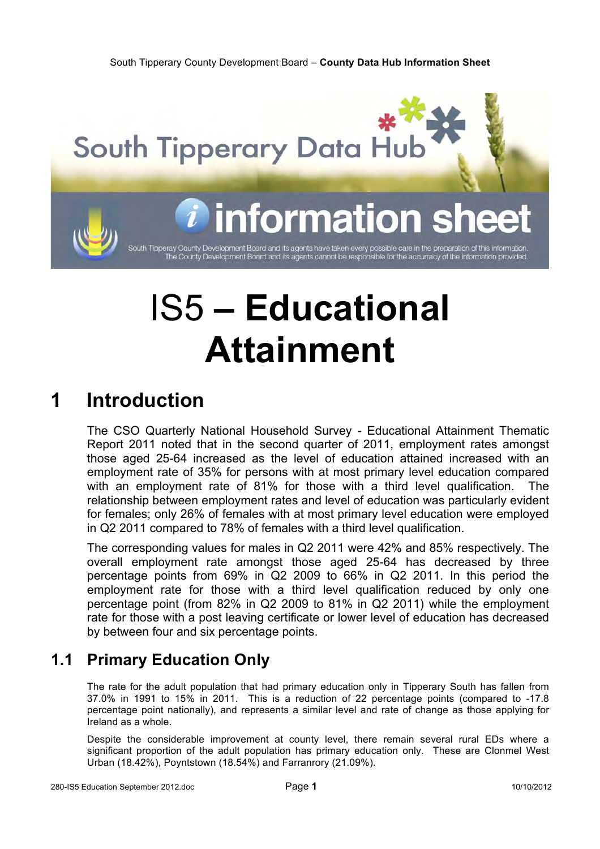

# IS5 **– Educational Attainment**

# **1 Introduction**

The CSO Quarterly National Household Survey - Educational Attainment Thematic Report 2011 noted that in the second quarter of 2011, employment rates amongst those aged 25-64 increased as the level of education attained increased with an employment rate of 35% for persons with at most primary level education compared with an employment rate of 81% for those with a third level qualification. The relationship between employment rates and level of education was particularly evident for females; only 26% of females with at most primary level education were employed in Q2 2011 compared to 78% of females with a third level qualification.

The corresponding values for males in Q2 2011 were 42% and 85% respectively. The overall employment rate amongst those aged 25-64 has decreased by three percentage points from 69% in Q2 2009 to 66% in Q2 2011. In this period the employment rate for those with a third level qualification reduced by only one percentage point (from 82% in Q2 2009 to 81% in Q2 2011) while the employment rate for those with a post leaving certificate or lower level of education has decreased by between four and six percentage points.

### **1.1 Primary Education Only**

The rate for the adult population that had primary education only in Tipperary South has fallen from 37.0% in 1991 to 15% in 2011. This is a reduction of 22 percentage points (compared to -17.8 percentage point nationally), and represents a similar level and rate of change as those applying for Ireland as a whole.

Despite the considerable improvement at county level, there remain several rural EDs where a significant proportion of the adult population has primary education only. These are Clonmel West Urban (18.42%), Poyntstown (18.54%) and Farranrory (21.09%).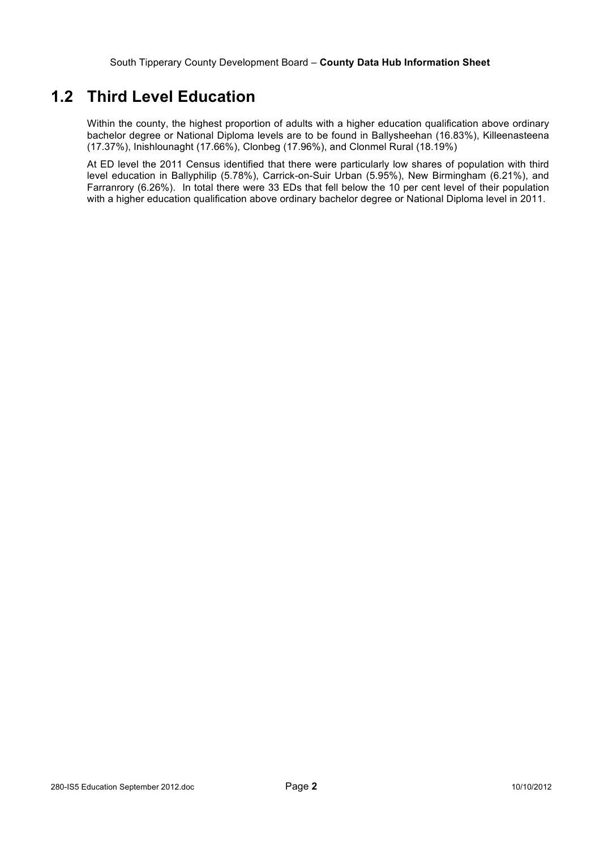### **1.2 Third Level Education**

Within the county, the highest proportion of adults with a higher education qualification above ordinary bachelor degree or National Diploma levels are to be found in Ballysheehan (16.83%), Killeenasteena (17.37%), Inishlounaght (17.66%), Clonbeg (17.96%), and Clonmel Rural (18.19%)

At ED level the 2011 Census identified that there were particularly low shares of population with third level education in Ballyphilip (5.78%), Carrick-on-Suir Urban (5.95%), New Birmingham (6.21%), and Farranrory (6.26%). In total there were 33 EDs that fell below the 10 per cent level of their population with a higher education qualification above ordinary bachelor degree or National Diploma level in 2011.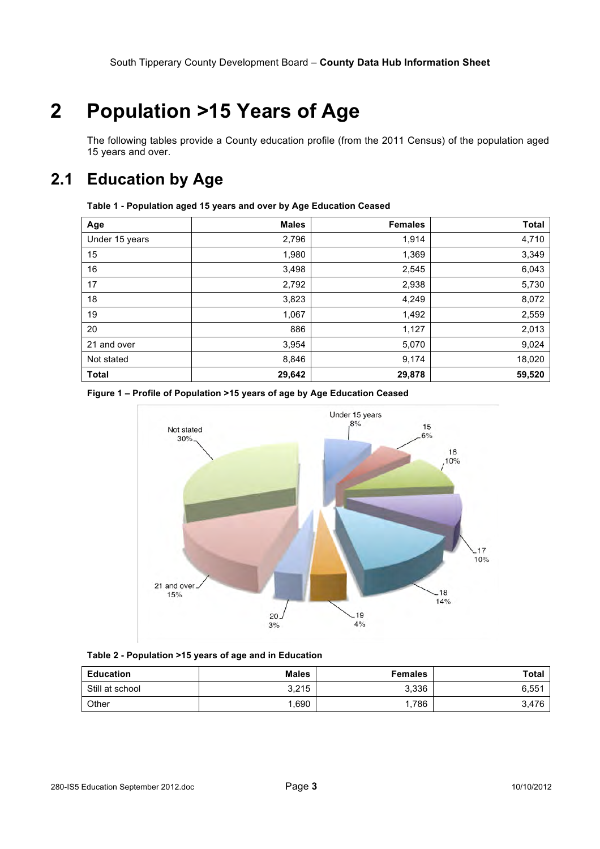# **2 Population >15 Years of Age**

The following tables provide a County education profile (from the 2011 Census) of the population aged 15 years and over.

### **2.1 Education by Age**

| Age            | <b>Males</b> | <b>Females</b> | <b>Total</b> |
|----------------|--------------|----------------|--------------|
| Under 15 years | 2,796        | 1,914          | 4,710        |
| 15             | 1,980        | 1,369          | 3,349        |
| 16             | 3,498        | 2,545          | 6,043        |
| 17             | 2,792        | 2,938          | 5,730        |
| 18             | 3,823        | 4,249          | 8,072        |
| 19             | 1,067        | 1,492          | 2,559        |
| 20             | 886          | 1,127          | 2,013        |
| 21 and over    | 3,954        | 5,070          | 9,024        |
| Not stated     | 8,846        | 9,174          | 18,020       |
| <b>Total</b>   | 29,642       | 29,878         | 59,520       |





**Table 2 - Population >15 years of age and in Education**

| <b>Education</b> | <b>Males</b> | <b>Females</b> | <b>Total</b> |
|------------------|--------------|----------------|--------------|
| Still at school  | 3,215        | 3,336          | 6,551        |
| Other            | ,690         | 786.           | 3,476        |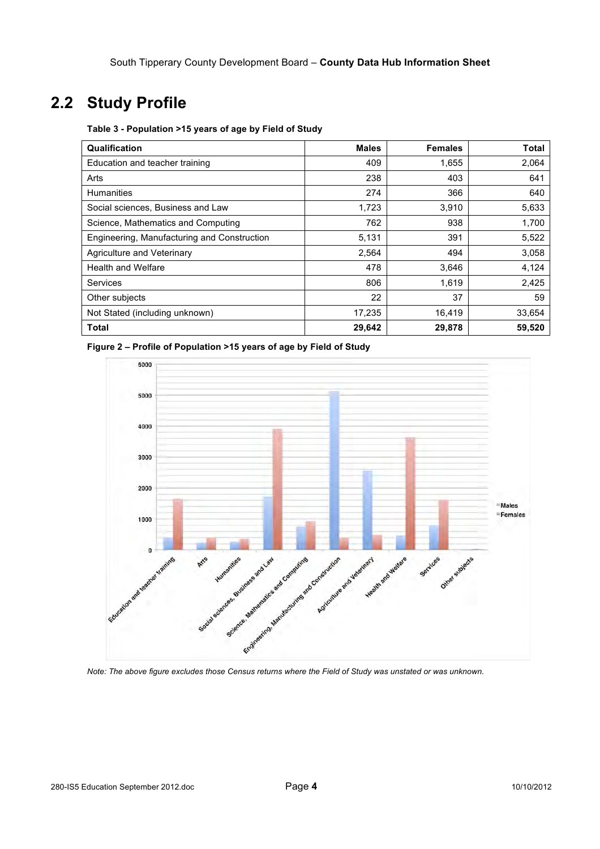### **2.2 Study Profile**

**Table 3 - Population >15 years of age by Field of Study**

| Qualification                               | <b>Males</b> | <b>Females</b> | <b>Total</b> |
|---------------------------------------------|--------------|----------------|--------------|
| Education and teacher training              | 409          | 1,655          | 2,064        |
| Arts                                        | 238          | 403            | 641          |
| <b>Humanities</b>                           | 274          | 366            | 640          |
| Social sciences, Business and Law           | 1,723        | 3,910          | 5,633        |
| Science, Mathematics and Computing          | 762          | 938            | 1,700        |
| Engineering, Manufacturing and Construction | 5,131        | 391            | 5,522        |
| Agriculture and Veterinary                  | 2,564        | 494            | 3,058        |
| <b>Health and Welfare</b>                   | 478          | 3,646          | 4,124        |
| Services                                    | 806          | 1,619          | 2,425        |
| Other subjects                              | 22           | 37             | 59           |
| Not Stated (including unknown)              | 17,235       | 16,419         | 33,654       |
| Total                                       | 29,642       | 29,878         | 59,520       |

**Figure 2 – Profile of Population >15 years of age by Field of Study**



*Note: The above figure excludes those Census returns where the Field of Study was unstated or was unknown.*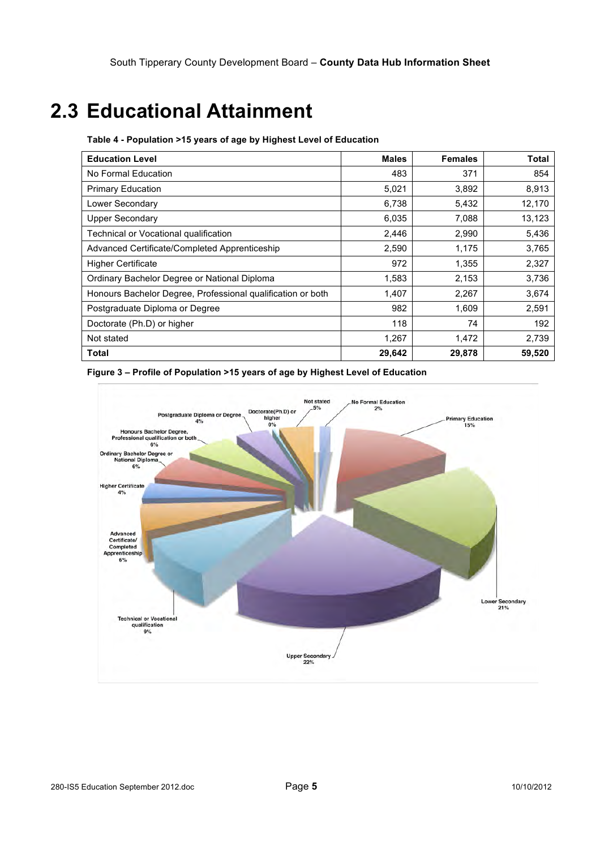# **2.3 Educational Attainment**

| <b>Education Level</b>                                      | <b>Males</b> | <b>Females</b> | Total  |
|-------------------------------------------------------------|--------------|----------------|--------|
| No Formal Education                                         | 483          | 371            | 854    |
| <b>Primary Education</b>                                    | 5,021        | 3,892          | 8,913  |
| Lower Secondary                                             | 6,738        | 5,432          | 12,170 |
| <b>Upper Secondary</b>                                      | 6,035        | 7,088          | 13,123 |
| Technical or Vocational qualification                       | 2,446        | 2,990          | 5,436  |
| Advanced Certificate/Completed Apprenticeship               | 2,590        | 1,175          | 3,765  |
| <b>Higher Certificate</b>                                   | 972          | 1,355          | 2,327  |
| Ordinary Bachelor Degree or National Diploma                | 1,583        | 2,153          | 3,736  |
| Honours Bachelor Degree, Professional qualification or both | 1,407        | 2,267          | 3,674  |
| Postgraduate Diploma or Degree                              | 982          | 1,609          | 2,591  |
| Doctorate (Ph.D) or higher                                  | 118          | 74             | 192    |
| Not stated                                                  | 1,267        | 1,472          | 2,739  |
| <b>Total</b>                                                | 29,642       | 29,878         | 59,520 |

**Table 4 - Population >15 years of age by Highest Level of Education**

#### **Figure 3 – Profile of Population >15 years of age by Highest Level of Education**

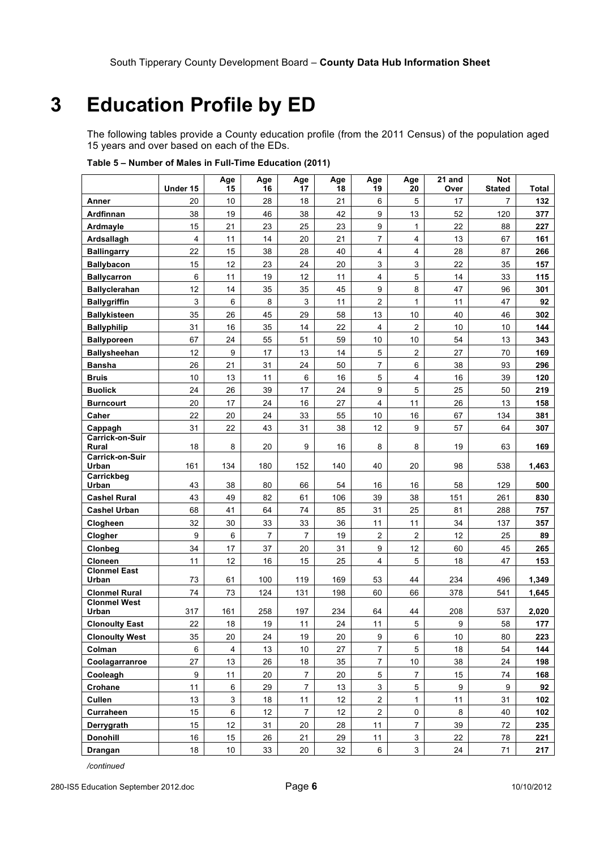# **3 Education Profile by ED**

The following tables provide a County education profile (from the 2011 Census) of the population aged 15 years and over based on each of the EDs.

|                                 |                | Age<br>15       | Age<br>16      | Age<br>17        | Age<br>18 | Age<br>19               | Age<br>20        | 21 and<br>Over | <b>Not</b><br><b>Stated</b> |            |
|---------------------------------|----------------|-----------------|----------------|------------------|-----------|-------------------------|------------------|----------------|-----------------------------|------------|
|                                 | Under 15       |                 |                |                  |           |                         |                  |                |                             | Total      |
| Anner                           | 20             | 10              | 28             | 18               | 21        | 6                       | 5                | 17             | 7                           | 132        |
| Ardfinnan                       | 38             | 19              | 46             | 38               | 42        | 9                       | 13               | 52             | 120                         | 377        |
| Ardmayle                        | 15             | 21              | 23             | 25               | 23        | 9                       | $\mathbf{1}$     | 22             | 88                          | 227        |
| Ardsallagh                      | $\overline{4}$ | 11              | 14             | 20               | 21        | $\overline{7}$          | 4                | 13             | 67                          | 161        |
| <b>Ballingarry</b>              | 22             | 15              | 38             | 28               | 40        | 4                       | 4                | 28             | 87                          | 266        |
| <b>Ballybacon</b>               | 15             | 12              | 23             | 24               | 20        | 3                       | 3                | 22             | 35                          | 157        |
| <b>Ballycarron</b>              | 6              | 11              | 19             | 12               | 11        | 4                       | 5                | 14             | 33                          | 115        |
| <b>Ballyclerahan</b>            | 12             | 14              | 35             | 35               | 45        | 9                       | 8                | 47             | 96                          | 301        |
| <b>Ballygriffin</b>             | 3              | 6               | 8              | 3                | 11        | 2                       | $\mathbf{1}$     | 11             | 47                          | 92         |
| <b>Ballykisteen</b>             | 35             | 26              | 45             | 29               | 58        | 13                      | 10               | 40             | 46                          | 302        |
| <b>Ballyphilip</b>              | 31             | 16              | 35             | 14               | 22        | 4                       | $\overline{c}$   | 10             | 10                          | 144        |
| <b>Ballyporeen</b>              | 67             | 24              | 55             | 51               | 59        | 10                      | 10               | 54             | 13                          | 343        |
| <b>Ballysheehan</b>             | 12             | 9               | 17             | 13               | 14        | 5                       | $\overline{2}$   | 27             | 70                          | 169        |
| <b>Bansha</b>                   | 26             | 21              | 31             | 24               | 50        | $\overline{7}$          | 6                | 38             | 93                          | 296        |
| <b>Bruis</b>                    | 10             | 13              | 11             | 6                | 16        | 5                       | $\overline{4}$   | 16             | 39                          | 120        |
| <b>Buolick</b>                  | 24             | 26              | 39             | 17               | 24        | 9                       | 5                | 25             | 50                          | 219        |
| <b>Burncourt</b>                | 20             | 17              | 24             | 16               | 27        | 4                       | 11               | 26             | 13                          | 158        |
| Caher                           | 22             | 20              | 24             | 33               | 55        | 10                      | 16               | 67             | 134                         | 381        |
| Cappagh<br>Carrick-on-Suir      | 31             | 22              | 43             | 31               | 38        | 12                      | 9                | 57             | 64                          | 307        |
| Rural                           | 18             | 8               | 20             | 9                | 16        | 8                       | 8                | 19             | 63                          | 169        |
| Carrick-on-Suir<br>Urban        | 161            | 134             | 180            | 152              | 140       | 40                      | 20               | 98             | 538                         | 1,463      |
| Carrickbeg                      |                |                 |                |                  |           |                         |                  |                |                             |            |
| Urban                           | 43             | 38              | 80             | 66               | 54        | 16                      | 16               | 58             | 129                         | 500        |
| <b>Cashel Rural</b>             | 43<br>68       | 49<br>41        | 82<br>64       | 61<br>74         | 106       | 39                      | 38               | 151            | 261                         | 830        |
| <b>Cashel Urban</b><br>Clogheen | 32             | 30              | 33             | 33               | 85<br>36  | 31<br>11                | 25<br>11         | 81<br>34       | 288<br>137                  | 757<br>357 |
| Clogher                         | 9              | 6               | $\overline{7}$ | 7                | 19        | 2                       | $\overline{2}$   | 12             | 25                          | 89         |
| Clonbeg                         | 34             | 17              | 37             | 20               | 31        | 9                       | 12               | 60             | 45                          | 265        |
| <b>Cloneen</b>                  | 11             | 12              | 16             | 15               | 25        | 4                       | 5                | 18             | 47                          | 153        |
| <b>Clonmel East</b>             |                |                 |                |                  |           |                         |                  |                |                             |            |
| Urban                           | 73             | 61              | 100            | 119              | 169       | 53                      | 44               | 234            | 496                         | 1,349      |
| <b>Clonmel Rural</b>            | 74             | 73              | 124            | 131              | 198       | 60                      | 66               | 378            | 541                         | 1,645      |
| <b>Clonmel West</b><br>Urban    | 317            | 161             | 258            | 197              | 234       | 64                      | 44               | 208            | 537                         | 2,020      |
| <b>Clonoulty East</b>           | 22             | 18              | 19             | 11               | 24        | 11                      | 5                | 9              | 58                          | 177        |
| <b>Clonoulty West</b>           | 35             | 20              | 24             | 19               | $20\,$    | 9                       | 6                | 10             | 80                          | 223        |
| Colman                          | $\,6\,$        | $\overline{4}$  | 13             | 10               | 27        | $\overline{7}$          | 5                | 18             | 54                          | 144        |
| Coolagarranroe                  | 27             | 13              | 26             | 18               | 35        | $\overline{7}$          | 10               | 38             | 24                          | 198        |
| Cooleagh                        | 9              | 11              | 20             | $\overline{7}$   | 20        | 5                       | $\overline{7}$   | 15             | 74                          | 168        |
| Crohane                         | 11             | 6               | 29             | $\overline{7}$   | 13        | 3                       | 5                | 9              | 9                           | 92         |
| Cullen                          | 13             | $\mathsf 3$     | 18             | $11$             | 12        | $\overline{a}$          | $\mathbf{1}$     | 11             | 31                          | 102        |
| Curraheen                       | 15             | 6               | 12             | $\boldsymbol{7}$ | 12        | $\overline{\mathbf{c}}$ | 0                | $\bf 8$        | 40                          | 102        |
| Derrygrath                      | 15             | 12              | 31             | 20               | 28        | 11                      | $\boldsymbol{7}$ | 39             | $72\,$                      | 235        |
| <b>Donohill</b>                 | 16             | 15              | 26             | 21               | 29        | 11                      | $\mathbf{3}$     | 22             | 78                          | 221        |
| Drangan                         | 18             | 10 <sub>1</sub> | 33             | 20               | 32        | 6                       | $\mathbf{3}$     | 24             | 71                          | 217        |

**Table 5 – Number of Males in Full-Time Education (2011)**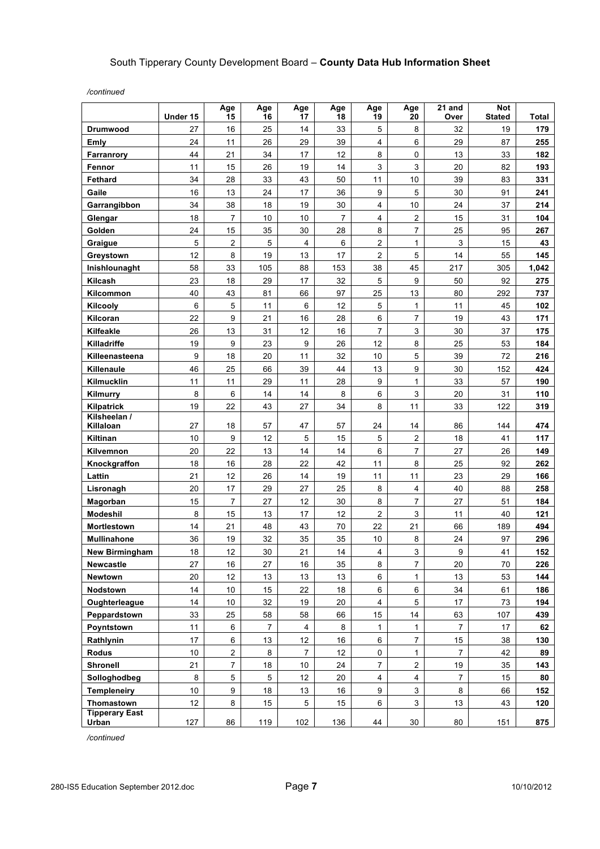*/continued*

|                                | Under 15 | Age<br>15        | Age<br>16  | Age<br>17      | Age<br>18 | Age<br>19      | Age<br>20               | 21 and<br>Over   | Not<br><b>Stated</b> | Total |
|--------------------------------|----------|------------------|------------|----------------|-----------|----------------|-------------------------|------------------|----------------------|-------|
| <b>Drumwood</b>                | 27       | 16               | 25         | 14             | 33        | 5              | 8                       | 32               | 19                   | 179   |
| Emly                           | 24       | 11               | 26         | 29             | 39        | 4              | 6                       | 29               | 87                   | 255   |
| Farranrory                     | 44       | 21               | 34         | 17             | 12        | 8              | 0                       | 13               | 33                   | 182   |
| Fennor                         | 11       | 15               | 26         | 19             | 14        | 3              | 3                       | 20               | 82                   | 193   |
| <b>Fethard</b>                 | 34       | 28               | 33         | 43             | 50        | 11             | $10$                    | 39               | 83                   | 331   |
| Gaile                          | 16       | 13               | 24         | 17             | 36        | 9              | 5                       | 30               | 91                   | 241   |
| Garrangibbon                   | 34       | 38               | 18         | 19             | 30        | 4              | 10                      | 24               | 37                   | 214   |
| Glengar                        | 18       | 7                | 10         | 10             | 7         | 4              | 2                       | 15               | 31                   | 104   |
| Golden                         | 24       | 15               | 35         | 30             | 28        | 8              | 7                       | 25               | 95                   | 267   |
| Graigue                        | 5        | $\overline{2}$   | $\sqrt{5}$ | $\overline{4}$ | 6         | 2              | $\mathbf{1}$            | $\mathsf 3$      | 15                   | 43    |
| Greystown                      | 12       | 8                | 19         | 13             | 17        | 2              | 5                       | 14               | 55                   | 145   |
| Inishlounaght                  | 58       | 33               | 105        | 88             | 153       | 38             | 45                      | 217              | 305                  | 1,042 |
| Kilcash                        | 23       | 18               | 29         | 17             | 32        | 5              | 9                       | 50               | 92                   | 275   |
| Kilcommon                      | 40       | 43               | 81         | 66             | 97        | 25             | 13                      | 80               | 292                  | 737   |
| Kilcooly                       | 6        | 5                | 11         | 6              | 12        | 5              | $\mathbf{1}$            | 11               | 45                   | 102   |
| Kilcoran                       | 22       | 9                | 21         | 16             | 28        | 6              | $\overline{7}$          | 19               | 43                   | 171   |
| Kilfeakle                      | 26       | 13               | 31         | 12             | 16        | $\overline{7}$ | $\mathbf{3}$            | 30               | 37                   | 175   |
| Killadriffe                    | 19       | $\boldsymbol{9}$ | 23         | 9              | 26        | 12             | 8                       | 25               | 53                   | 184   |
| Killeenasteena                 | 9        | 18               | 20         | 11             | 32        | 10             | 5                       | 39               | 72                   | 216   |
| Killenaule                     | 46       | 25               | 66         | 39             | 44        | 13             | 9                       | 30               | 152                  | 424   |
| Kilmucklin                     | 11       | 11               | 29         | 11             | 28        | 9              | $\mathbf{1}$            | 33               | 57                   | 190   |
| Kilmurry                       | 8        | 6                | 14         | 14             | 8         | 6              | 3                       | 20               | 31                   | 110   |
| Kilpatrick                     | 19       | 22               | 43         | 27             | 34        | 8              | 11                      | 33               | 122                  | 319   |
| Kilsheelan /<br>Killaloan      | 27       | 18               | 57         | 47             | 57        | 24             | 14                      | 86               | 144                  | 474   |
| Kiltinan                       | 10       | 9                | 12         | 5              | 15        | 5              | 2                       | 18               | 41                   | 117   |
| Kilvemnon                      | 20       | 22               | 13         | 14             | 14        | 6              | $\overline{7}$          | 27               | 26                   | 149   |
| Knockgraffon                   | 18       | 16               | 28         | 22             | 42        | 11             | 8                       | 25               | 92                   | 262   |
| Lattin                         | 21       | 12               | 26         | 14             | 19        | 11             | 11                      | 23               | 29                   | 166   |
| Lisronagh                      | 20       | 17               | 29         | 27             | 25        | 8              | 4                       | 40               | 88                   | 258   |
| Magorban                       | 15       | $\overline{7}$   | 27         | 12             | 30        | 8              | $\overline{7}$          | 27               | 51                   | 184   |
| Modeshil                       | 8        | 15               | 13         | 17             | 12        | 2              | $\mathbf{3}$            | 11               | 40                   | 121   |
| Mortlestown                    | 14       | 21               | 48         | 43             | 70        | 22             | 21                      | 66               | 189                  | 494   |
| <b>Mullinahone</b>             | 36       | 19               | 32         | 35             | 35        | 10             | 8                       | 24               | 97                   | 296   |
| New Birmingham                 | $18$     | 12               | 30         | 21             | 14        | 4              | 3                       | $\boldsymbol{9}$ | 41                   | 152   |
| <b>Newcastle</b>               | 27       | 16               | 27         | 16             | 35        | 8              | 7                       | 20               | 70                   | 226   |
| <b>Newtown</b>                 | 20       | 12               | 13         | 13             | 13        | 6              | 1                       | 13               | 53                   | 144   |
| Nodstown                       | 14       | $10$             | 15         | 22             | 18        | 6              | $\,6\,$                 | 34               | 61                   | 186   |
| Oughterleague                  | 14       | 10               | 32         | 19             | 20        | 4              | 5                       | 17               | 73                   | 194   |
| Peppardstown                   | 33       | 25               | 58         | 58             | 66        | 15             | 14                      | 63               | 107                  | 439   |
| Poyntstown                     | 11       | 6                | 7          | 4              | 8         | 1              | 1                       | 7                | 17                   | 62    |
| Rathlynin                      | 17       | $\,6$            | 13         | 12             | 16        | 6              | 7                       | 15               | 38                   | 130   |
| Rodus                          | 10       | 2                | 8          | $\overline{7}$ | 12        | 0              | 1                       | $\overline{7}$   | 42                   | 89    |
| <b>Shronell</b>                | 21       | 7                | 18         | 10             | 24        | 7              | $\overline{a}$          | 19               | 35                   | 143   |
| Solloghodbeg                   | 8        | 5                | 5          | 12             | 20        | 4              | $\overline{\mathbf{4}}$ | $\overline{7}$   | 15                   | 80    |
| <b>Templeneiry</b>             | 10       | 9                | 18         | 13             | 16        | 9              | $\mathbf{3}$            | 8                | 66                   | 152   |
| Thomastown                     | 12       | 8                | 15         | 5              | 15        | 6              | $\mathbf{3}$            | 13               | 43                   | 120   |
| <b>Tipperary East</b><br>Urban | 127      | 86               | 119        | 102            | 136       | 44             | 30                      | 80               | 151                  | 875   |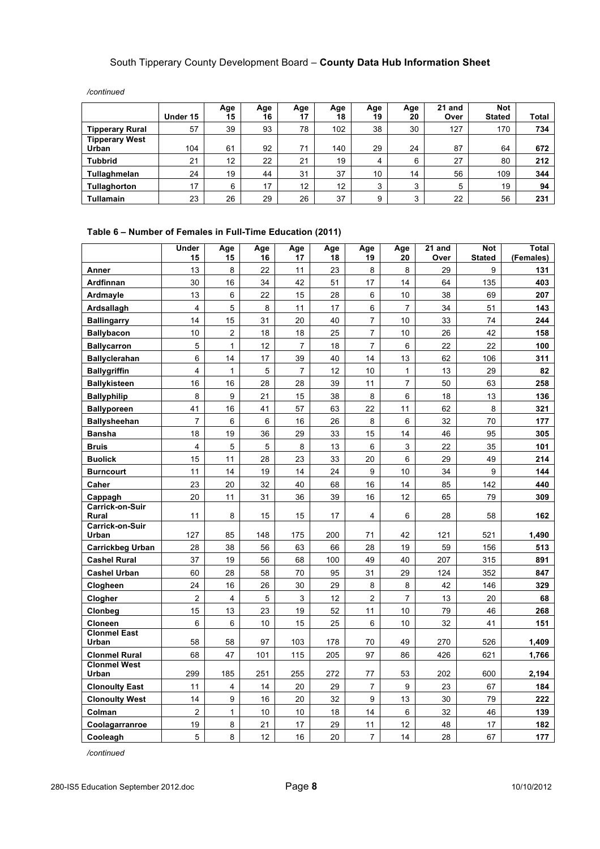|                        |          | Age | Age | Age | Age | Age | Age          | 21 and | <b>Not</b>    |       |
|------------------------|----------|-----|-----|-----|-----|-----|--------------|--------|---------------|-------|
|                        | Under 15 | 15  | 16  | 17  | 18  | 19  | 20           | Over   | <b>Stated</b> | Total |
| <b>Tipperary Rural</b> | 57       | 39  | 93  | 78  | 102 | 38  | 30           | 127    | 170           | 734   |
| <b>Tipperary West</b>  |          |     |     |     |     |     |              |        |               |       |
| Urban                  | 104      | 61  | 92  | 71  | 140 | 29  | 24           | 87     | 64            | 672   |
| <b>Tubbrid</b>         | 21       | 12  | 22  | 21  | 19  | 4   | 6            | 27     | 80            | 212   |
| Tullaghmelan           | 24       | 19  | 44  | 31  | 37  | 10  | 14           | 56     | 109           | 344   |
| Tullaghorton           | 17       | 6   | 17  | 12  | 12  | 3   | 3            | 5      | 19            | 94    |
| <b>Tullamain</b>       | 23       | 26  | 29  | 26  | 37  | 9   | $\mathbf{r}$ | 22     | 56            | 231   |

*/continued*

#### **Table 6 – Number of Females in Full-Time Education (2011)**

|                              | Under<br>15             | Age<br>15      | Age<br>16      | Age<br>17      | Age<br>18 | Age<br>19      | Age<br>20      | 21 and<br>Over | <b>Not</b><br><b>Stated</b> | <b>Total</b><br>(Females) |
|------------------------------|-------------------------|----------------|----------------|----------------|-----------|----------------|----------------|----------------|-----------------------------|---------------------------|
| Anner                        | 13                      | 8              | 22             | 11             | 23        | 8              | 8              | 29             | 9                           | 131                       |
| Ardfinnan                    | 30                      | 16             | 34             | 42             | 51        | 17             | 14             | 64             | 135                         | 403                       |
| Ardmayle                     | 13                      | 6              | 22             | 15             | 28        | 6              | 10             | 38             | 69                          | 207                       |
| Ardsallagh                   | 4                       | $\sqrt{5}$     | 8              | 11             | 17        | 6              | $\overline{7}$ | 34             | 51                          | 143                       |
| <b>Ballingarry</b>           | 14                      | 15             | 31             | 20             | 40        | $\overline{7}$ | 10             | 33             | 74                          | 244                       |
| <b>Ballybacon</b>            | 10                      | $\overline{c}$ | 18             | 18             | 25        | $\overline{7}$ | 10             | 26             | 42                          | 158                       |
| <b>Ballycarron</b>           | 5                       | $\mathbf{1}$   | 12             | $\overline{7}$ | 18        | $\overline{7}$ | 6              | 22             | 22                          | 100                       |
| <b>Ballyclerahan</b>         | 6                       | 14             | 17             | 39             | 40        | 14             | 13             | 62             | 106                         | 311                       |
| <b>Ballygriffin</b>          | 4                       | $\mathbf{1}$   | $\overline{5}$ | $\overline{7}$ | 12        | 10             | $\mathbf{1}$   | 13             | 29                          | 82                        |
| <b>Ballykisteen</b>          | 16                      | 16             | 28             | 28             | 39        | 11             | $\overline{7}$ | 50             | 63                          | 258                       |
| <b>Ballyphilip</b>           | 8                       | 9              | 21             | 15             | 38        | 8              | 6              | 18             | 13                          | 136                       |
| <b>Ballyporeen</b>           | 41                      | 16             | 41             | 57             | 63        | 22             | 11             | 62             | 8                           | 321                       |
| <b>Ballysheehan</b>          | 7                       | 6              | 6              | 16             | 26        | 8              | 6              | 32             | 70                          | 177                       |
| <b>Bansha</b>                | 18                      | 19             | 36             | 29             | 33        | 15             | 14             | 46             | 95                          | 305                       |
| <b>Bruis</b>                 | 4                       | 5              | 5              | 8              | 13        | 6              | 3              | 22             | 35                          | 101                       |
| <b>Buolick</b>               | 15                      | 11             | 28             | 23             | 33        | 20             | 6              | 29             | 49                          | 214                       |
| <b>Burncourt</b>             | 11                      | 14             | 19             | 14             | 24        | 9              | 10             | 34             | 9                           | 144                       |
| Caher                        | 23                      | 20             | 32             | 40             | 68        | 16             | 14             | 85             | 142                         | 440                       |
| Cappagh                      | 20                      | 11             | 31             | 36             | 39        | 16             | 12             | 65             | 79                          | 309                       |
| Carrick-on-Suir<br>Rural     | 11                      | 8              | 15             | 15             | 17        | 4              | 6              | 28             | 58                          | 162                       |
| Carrick-on-Suir              |                         |                |                |                |           |                |                |                |                             |                           |
| Urban                        | 127                     | 85             | 148            | 175            | 200       | 71             | 42             | 121            | 521                         | 1,490                     |
| <b>Carrickbeg Urban</b>      | 28                      | 38             | 56             | 63             | 66        | 28             | 19             | 59             | 156                         | 513                       |
| <b>Cashel Rural</b>          | 37                      | 19             | 56             | 68             | 100       | 49             | 40             | 207            | 315                         | 891                       |
| <b>Cashel Urban</b>          | 60                      | 28             | 58             | 70             | 95        | 31             | 29             | 124            | 352                         | 847                       |
| Clogheen                     | 24                      | 16             | 26             | 30             | 29        | 8              | 8              | 42             | 146                         | 329                       |
| Clogher                      | $\overline{2}$          | $\overline{4}$ | 5              | 3              | 12        | $\overline{2}$ | $\overline{7}$ | 13             | 20                          | 68                        |
| Clonbeg                      | 15                      | 13             | 23             | 19             | 52        | 11             | 10             | 79             | 46                          | 268                       |
| Cloneen                      | 6                       | 6              | 10             | 15             | 25        | $\,6\,$        | 10             | 32             | 41                          | 151                       |
| <b>Clonmel East</b><br>Urban | 58                      | 58             | 97             | 103            | 178       | 70             | 49             | 270            | 526                         | 1,409                     |
| <b>Clonmel Rural</b>         | 68                      | 47             | 101            | 115            | 205       | 97             | 86             | 426            | 621                         | 1,766                     |
| <b>Clonmel West</b>          |                         |                |                |                |           |                |                |                |                             |                           |
| Urban                        | 299                     | 185            | 251            | 255            | 272       | 77             | 53             | 202            | 600                         | 2,194                     |
| <b>Clonoulty East</b>        | 11                      | 4              | 14             | 20             | 29        | $\overline{7}$ | 9              | 23             | 67                          | 184                       |
| <b>Clonoulty West</b>        | 14                      | 9              | 16             | 20             | 32        | 9              | 13             | 30             | 79                          | 222                       |
| Colman                       | $\overline{\mathbf{c}}$ | $\mathbf{1}$   | 10             | 10             | 18        | 14             | 6              | 32             | 46                          | 139                       |
| Coolagarranroe               | 19                      | 8              | 21             | 17             | 29        | 11             | 12             | 48             | 17                          | 182                       |
| Cooleagh                     | 5                       | 8              | 12             | 16             | 20        | $\overline{7}$ | 14             | 28             | 67                          | 177                       |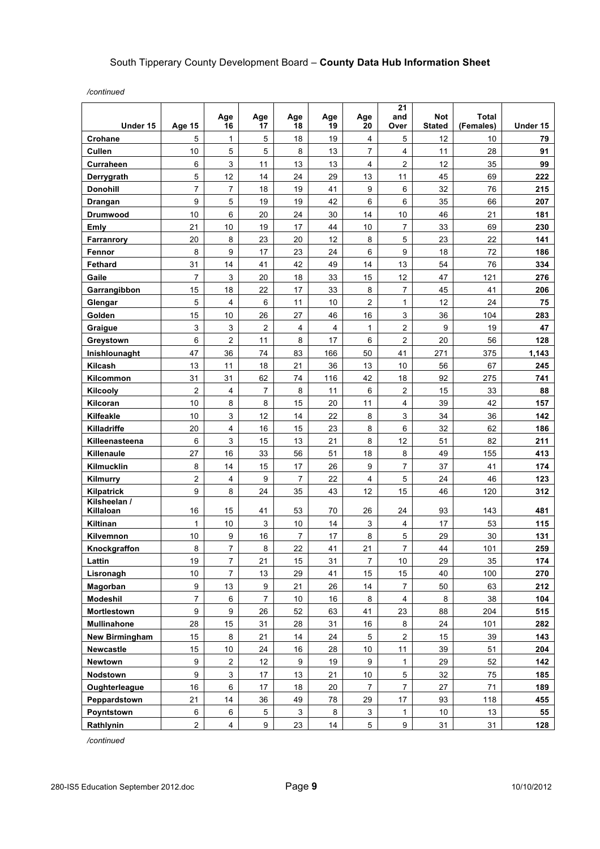*/continued*

| Under 15                  | Age 15                  | Age<br>16      | Age<br>17      | Age<br>18      | Age<br>19      | Age<br>20      | 21<br>and<br>Over       | <b>Not</b><br><b>Stated</b> | <b>Total</b><br>(Females) | Under 15 |
|---------------------------|-------------------------|----------------|----------------|----------------|----------------|----------------|-------------------------|-----------------------------|---------------------------|----------|
| Crohane                   | 5                       | 1              | 5              | 18             | 19             | 4              | 5                       | 12                          | 10                        | 79       |
| Cullen                    | 10                      | 5              | 5              | 8              | 13             | 7              | 4                       | 11                          | 28                        | 91       |
| Curraheen                 | 6                       | 3              | 11             | 13             | 13             | 4              | $\overline{2}$          | 12                          | 35                        | 99       |
| Derrygrath                | 5                       | 12             | 14             | 24             | 29             | 13             | 11                      | 45                          | 69                        | 222      |
| <b>Donohill</b>           | 7                       | 7              | 18             | 19             | 41             | 9              | 6                       | 32                          | 76                        | 215      |
| Drangan                   | 9                       | 5              | 19             | 19             | 42             | 6              | 6                       | 35                          | 66                        | 207      |
| <b>Drumwood</b>           | 10                      | 6              | 20             | 24             | 30             | 14             | 10                      | 46                          | 21                        | 181      |
| Emly                      | 21                      | 10             | 19             | 17             | 44             | 10             | $\overline{7}$          | 33                          | 69                        | 230      |
| Farranrory                | 20                      | 8              | 23             | 20             | 12             | 8              | 5                       | 23                          | 22                        | 141      |
| Fennor                    | 8                       | 9              | 17             | 23             | 24             | 6              | 9                       | 18                          | 72                        | 186      |
| <b>Fethard</b>            | 31                      | 14             | 41             | 42             | 49             | 14             | 13                      | 54                          | 76                        | 334      |
| Gaile                     | $\overline{7}$          | 3              | 20             | 18             | 33             | 15             | 12                      | 47                          | 121                       | 276      |
| Garrangibbon              | 15                      | 18             | 22             | 17             | 33             | 8              | 7                       | 45                          | 41                        | 206      |
| Glengar                   | 5                       | 4              | 6              | 11             | 10             | $\overline{c}$ | $\mathbf{1}$            | 12                          | 24                        | 75       |
| Golden                    | 15                      | 10             | 26             | 27             | 46             | 16             | 3                       | 36                          | 104                       | 283      |
| Graigue                   | 3                       | 3              | $\overline{2}$ | $\overline{4}$ | $\overline{4}$ | 1              | $\overline{c}$          | 9                           | 19                        | 47       |
| Greystown                 | 6                       | $\overline{c}$ | 11             | 8              | 17             | 6              | 2                       | 20                          | 56                        | 128      |
| Inishlounaght             | 47                      | 36             | 74             | 83             | 166            | 50             | 41                      | 271                         | 375                       | 1,143    |
| Kilcash                   | 13                      | 11             | 18             | 21             | 36             | 13             | 10                      | 56                          | 67                        | 245      |
| Kilcommon                 | 31                      | 31             | 62             | 74             | 116            | 42             | 18                      | 92                          | 275                       | 741      |
| Kilcooly                  | $\overline{a}$          | 4              | $\overline{7}$ | 8              | 11             | 6              | $\overline{2}$          | 15                          | 33                        | 88       |
| Kilcoran                  | 10                      | 8              | 8              | 15             | 20             | 11             | $\overline{\mathbf{4}}$ | 39                          | 42                        | 157      |
| Kilfeakle                 | 10                      | 3              | 12             | 14             | 22             | 8              | 3                       | 34                          | 36                        | 142      |
| Killadriffe               | 20                      | 4              | 16             | 15             | 23             | 8              | 6                       | 32                          | 62                        | 186      |
| Killeenasteena            | 6                       | 3              | 15             | 13             | 21             | 8              | 12                      | 51                          | 82                        | 211      |
| Killenaule                | 27                      | 16             | 33             | 56             | 51             | 18             | 8                       | 49                          | 155                       | 413      |
| Kilmucklin                | 8                       | 14             | 15             | 17             | 26             | 9              | $\overline{7}$          | 37                          | 41                        | 174      |
| Kilmurry                  | $\overline{\mathbf{c}}$ | 4              | 9              | 7              | 22             | 4              | 5                       | 24                          | 46                        | 123      |
| Kilpatrick                | 9                       | 8              | 24             | 35             | 43             | 12             | 15                      | 46                          | 120                       | 312      |
| Kilsheelan /<br>Killaloan | 16                      | 15             | 41             | 53             | 70             | 26             | 24                      | 93                          | 143                       | 481      |
| Kiltinan                  | $\mathbf{1}$            | 10             | 3              | 10             | 14             | 3              | 4                       | 17                          | 53                        | 115      |
| Kilvemnon                 | 10                      | 9              | 16             | $\overline{7}$ | 17             | 8              | 5                       | 29                          | 30                        | 131      |
| Knockgraffon              | 8                       | $\overline{7}$ | 8              | 22             | 41             | 21             | $\overline{7}$          | 44                          | 101                       | 259      |
| Lattin                    | 19                      | 7              | 21             | 15             | 31             | 7              | 10                      | 29                          | 35                        | 174      |
| Lisronagh                 | 10                      | $\overline{7}$ | 13             | 29             | 41             | 15             | 15                      | 40                          | 100                       | 270      |
| Magorban                  | 9                       | 13             | 9              | 21             | 26             | 14             | $\overline{7}$          | 50                          | 63                        | 212      |
| Modeshil                  | $\overline{7}$          | 6              | 7              | 10             | $16\,$         | 8              | 4                       | 8                           | 38                        | 104      |
| Mortlestown               | 9                       | 9              | 26             | 52             | 63             | 41             | 23                      | 88                          | 204                       | 515      |
| <b>Mullinahone</b>        | 28                      | 15             | 31             | 28             | 31             | 16             | 8                       | 24                          | 101                       | 282      |
| <b>New Birmingham</b>     | 15                      | 8              | 21             | 14             | 24             | 5              | $\overline{\mathbf{c}}$ | 15                          | 39                        | 143      |
| Newcastle                 | 15                      | 10             | 24             | 16             | 28             | 10             | 11                      | 39                          | 51                        | 204      |
| <b>Newtown</b>            | 9                       | 2              | 12             | 9              | 19             | 9              | 1                       | 29                          | 52                        | 142      |
| Nodstown                  | 9                       | 3              | 17             | 13             | 21             | 10             | 5                       | 32                          | 75                        | 185      |
| Oughterleague             | 16                      | 6              | 17             | 18             | 20             | $\overline{7}$ | $\overline{7}$          | 27                          | 71                        | 189      |
| Peppardstown              | 21                      | 14             | 36             | 49             | 78             | 29             | 17                      | 93                          | 118                       | 455      |
| Poyntstown                | 6                       | 6              | 5              | 3              | 8              | 3              | $\mathbf{1}$            | 10                          | 13                        | 55       |
| Rathlynin                 | $\overline{\mathbf{c}}$ | 4              | 9              | 23             | 14             | 5              | 9                       | 31                          | 31                        | 128      |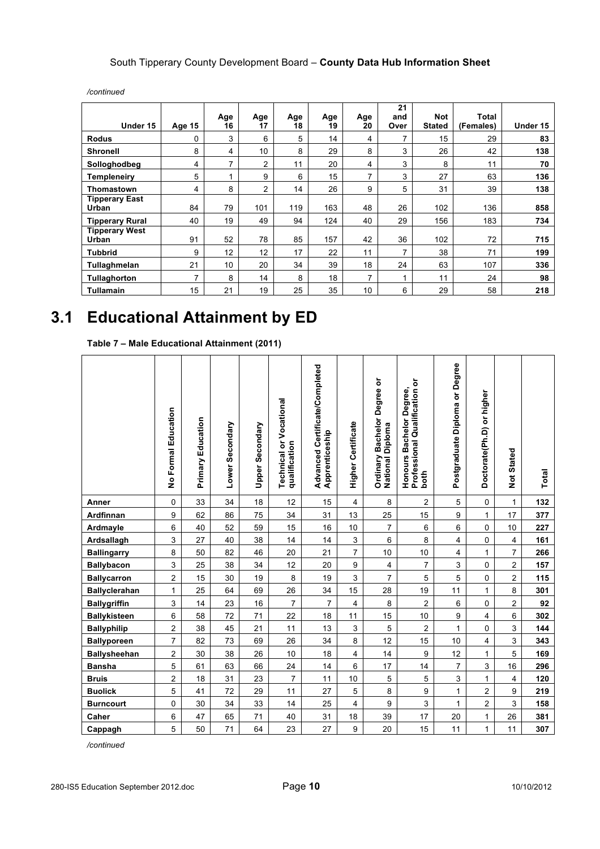|                                       |        | Age                     | Age | Age | Age | Age            | 21<br>and | <b>Not</b>    | Total     |          |
|---------------------------------------|--------|-------------------------|-----|-----|-----|----------------|-----------|---------------|-----------|----------|
| Under 15                              | Age 15 | 16                      | 17  | 18  | 19  | 20             | Over      | <b>Stated</b> | (Females) | Under 15 |
| <b>Rodus</b>                          | 0      | 3                       | 6   | 5   | 14  | 4              | 7         | 15            | 29        | 83       |
| <b>Shronell</b>                       | 8      | 4                       | 10  | 8   | 29  | 8              | 3         | 26            | 42        | 138      |
| Solloghodbeg                          | 4      | 7                       | 2   | 11  | 20  | 4              | 3         | 8             | 11        | 70       |
| Templeneiry                           | 5      | $\overline{\mathbf{A}}$ | 9   | 6   | 15  | 7              | 3         | 27            | 63        | 136      |
| Thomastown                            | 4      | 8                       | 2   | 14  | 26  | 9              | 5         | 31            | 39        | 138      |
| <b>Tipperary East</b><br><b>Urban</b> | 84     | 79                      | 101 | 119 | 163 | 48             | 26        | 102           | 136       | 858      |
| <b>Tipperary Rural</b>                | 40     | 19                      | 49  | 94  | 124 | 40             | 29        | 156           | 183       | 734      |
| <b>Tipperary West</b><br>Urban        | 91     | 52                      | 78  | 85  | 157 | 42             | 36        | 102           | 72        | 715      |
| <b>Tubbrid</b>                        | 9      | 12                      | 12  | 17  | 22  | 11             | 7         | 38            | 71        | 199      |
| Tullaghmelan                          | 21     | 10                      | 20  | 34  | 39  | 18             | 24        | 63            | 107       | 336      |
| Tullaghorton                          | 7      | 8                       | 14  | 8   | 18  | $\overline{ }$ |           | 11            | 24        | 98       |
| <b>Tullamain</b>                      | 15     | 21                      | 19  | 25  | 35  | 10             | 6         | 29            | 58        | 218      |

*/continued*

## **3.1 Educational Attainment by ED**

**Table 7 – Male Educational Attainment (2011)**

|                      | No Formal Education     | <b>Primary Education</b> | Lower Secondary | Upper Secondary | <b>Technical or Vocational</b><br>qualification | Advanced Certificate/Completed<br>Apprenticeship | <b>Higher Certificate</b> | <b>Bachelor Degree or</b><br>National Diploma<br>Ordinary | Professional Qualification or<br>Honours Bachelor Degree,<br>both | Postgraduate Diploma or Degree | Doctorate(Ph.D) or higher | Not Stated              | Total |
|----------------------|-------------------------|--------------------------|-----------------|-----------------|-------------------------------------------------|--------------------------------------------------|---------------------------|-----------------------------------------------------------|-------------------------------------------------------------------|--------------------------------|---------------------------|-------------------------|-------|
| Anner                | 0                       | 33                       | 34              | 18              | 12                                              | 15                                               | $\overline{4}$            | 8                                                         | $\overline{c}$                                                    | 5                              | $\mathbf 0$               | $\mathbf{1}$            | 132   |
| Ardfinnan            | 9                       | 62                       | 86              | 75              | 34                                              | 31                                               | 13                        | 25                                                        | 15                                                                | 9                              | $\mathbf{1}$              | $17\,$                  | 377   |
| Ardmayle             | 6                       | 40                       | 52              | 59              | 15                                              | 16                                               | 10                        | $\overline{7}$                                            | $\,6\,$                                                           | 6                              | 0                         | 10                      | 227   |
| Ardsallagh           | 3                       | 27                       | 40              | 38              | 14                                              | 14                                               | $\mathsf 3$               | 6                                                         | 8                                                                 | $\overline{4}$                 | $\pmb{0}$                 | $\overline{\mathbf{4}}$ | 161   |
| <b>Ballingarry</b>   | 8                       | 50                       | 82              | 46              | 20                                              | 21                                               | $\overline{7}$            | $10$                                                      | $10$                                                              | $\overline{4}$                 | 1                         | $\overline{7}$          | 266   |
| <b>Ballybacon</b>    | 3                       | 25                       | 38              | 34              | 12                                              | 20                                               | 9                         | 4                                                         | $\overline{7}$                                                    | 3                              | $\pmb{0}$                 | $\overline{c}$          | 157   |
| <b>Ballycarron</b>   | $\overline{\mathbf{c}}$ | 15                       | 30              | 19              | 8                                               | 19                                               | 3                         | $\overline{7}$                                            | 5                                                                 | 5                              | $\pmb{0}$                 | $\overline{c}$          | 115   |
| <b>Ballyclerahan</b> | 1                       | 25                       | 64              | 69              | 26                                              | 34                                               | 15                        | 28                                                        | 19                                                                | 11                             | 1                         | 8                       | 301   |
| <b>Ballygriffin</b>  | 3                       | 14                       | 23              | 16              | $\overline{7}$                                  | $\overline{7}$                                   | $\overline{4}$            | 8                                                         | $\overline{c}$                                                    | 6                              | 0                         | $\overline{c}$          | 92    |
| <b>Ballykisteen</b>  | 6                       | 58                       | 72              | 71              | 22                                              | 18                                               | 11                        | 15                                                        | 10                                                                | 9                              | 4                         | $\,6$                   | 302   |
| <b>Ballyphilip</b>   | 2                       | 38                       | 45              | 21              | 11                                              | 13                                               | 3                         | 5                                                         | $\overline{c}$                                                    | $\mathbf{1}$                   | 0                         | 3                       | 144   |
| <b>Ballyporeen</b>   | 7                       | 82                       | 73              | 69              | 26                                              | 34                                               | 8                         | 12                                                        | 15                                                                | 10                             | 4                         | $\mathbf{3}$            | 343   |
| <b>Ballysheehan</b>  | 2                       | 30                       | 38              | 26              | 10                                              | 18                                               | $\overline{4}$            | 14                                                        | 9                                                                 | 12                             | 1                         | 5                       | 169   |
| <b>Bansha</b>        | 5                       | 61                       | 63              | 66              | 24                                              | 14                                               | 6                         | 17                                                        | 14                                                                | $\overline{7}$                 | 3                         | 16                      | 296   |
| <b>Bruis</b>         | 2                       | 18                       | 31              | 23              | $\overline{7}$                                  | 11                                               | 10                        | 5                                                         | $\sqrt{5}$                                                        | 3                              | 1                         | $\overline{4}$          | 120   |
| <b>Buolick</b>       | 5                       | 41                       | 72              | 29              | 11                                              | 27                                               | $\,$ 5 $\,$               | 8                                                         | $\boldsymbol{9}$                                                  | 1                              | $\overline{\mathbf{c}}$   | $\boldsymbol{9}$        | 219   |
| <b>Burncourt</b>     | 0                       | 30                       | 34              | 33              | 14                                              | 25                                               | $\overline{\mathbf{4}}$   | 9                                                         | 3                                                                 | $\mathbf{1}$                   | $\overline{2}$            | 3                       | 158   |
| Caher                | 6                       | 47                       | 65              | 71              | 40                                              | 31                                               | 18                        | 39                                                        | 17                                                                | 20                             | 1                         | 26                      | 381   |
| Cappagh              | 5                       | 50                       | 71              | 64              | 23                                              | 27                                               | 9                         | 20                                                        | 15                                                                | 11                             | 1                         | 11                      | 307   |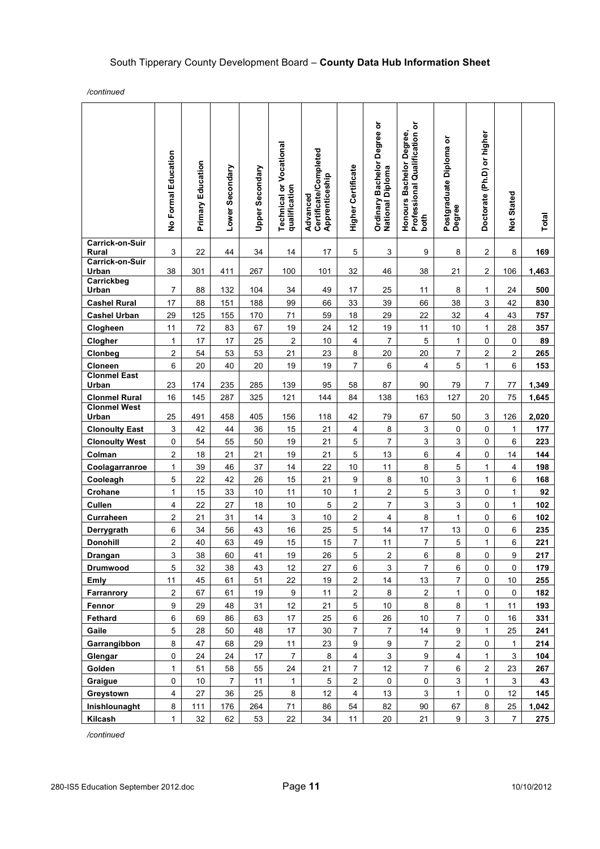*/continued*

|                                 | No Formal Education     | Primary Education | Lower Secondary | Upper Secondary | <b>Technical or Vocational</b><br>qualification | Certificate/Completed<br>Apprenticeship<br>Advanced | <b>Higher Certificate</b> | Ordinary Bachelor Degree or<br>National Diploma | Professional Qualification or<br>Honours Bachelor Degree,<br>both | Postgraduate Diploma or<br>Degree | Doctorate (Ph.D) or higher | Not Stated                | Total |
|---------------------------------|-------------------------|-------------------|-----------------|-----------------|-------------------------------------------------|-----------------------------------------------------|---------------------------|-------------------------------------------------|-------------------------------------------------------------------|-----------------------------------|----------------------------|---------------------------|-------|
| <b>Carrick-on-Suir</b><br>Rural | 3                       | 22                | 44              | 34              | 14                                              | 17                                                  | 5                         | 3                                               | 9                                                                 | 8                                 | 2                          | 8                         | 169   |
| Carrick-on-Suir<br>Urban        | 38                      | 301               | 411             | 267             | 100                                             | 101                                                 | 32                        | 46                                              | 38                                                                | 21                                | 2                          | 106                       | 1,463 |
| Carrickbeg                      |                         |                   |                 |                 |                                                 |                                                     |                           |                                                 |                                                                   |                                   |                            |                           |       |
| Urban                           | $\overline{7}$          | 88                | 132             | 104             | 34                                              | 49                                                  | 17                        | 25                                              | 11                                                                | 8                                 | 1                          | 24                        | 500   |
| <b>Cashel Rural</b>             | 17                      | 88                | 151             | 188             | 99                                              | 66                                                  | 33                        | 39                                              | 66                                                                | 38                                | 3                          | 42                        | 830   |
| <b>Cashel Urban</b>             | 29                      | 125               | 155             | 170             | 71                                              | 59                                                  | 18                        | 29                                              | 22                                                                | 32                                | 4                          | 43                        | 757   |
| Clogheen                        | 11                      | 72                | 83              | 67              | 19                                              | 24                                                  | 12                        | 19                                              | 11                                                                | 10                                | 1                          | 28                        | 357   |
| Clogher                         | $\mathbf{1}$            | 17                | 17              | 25              | $\overline{c}$                                  | 10                                                  | $\overline{4}$            | $\overline{7}$                                  | 5                                                                 | $\mathbf{1}$                      | 0                          | $\mathsf 0$               | 89    |
| Clonbeg                         | $\mathbf 2$             | 54                | 53              | 53              | 21                                              | 23                                                  | 8                         | 20                                              | 20                                                                | $\overline{7}$                    | 2                          | $\overline{\mathbf{c}}$   | 265   |
| Cloneen                         | 6                       | 20                | 40              | 20              | 19                                              | 19                                                  | $\overline{7}$            | 6                                               | $\overline{4}$                                                    | 5                                 | $\mathbf{1}$               | 6                         | 153   |
| <b>Clonmel East</b><br>Urban    | 23                      | 174               | 235             | 285             | 139                                             | 95                                                  | 58                        | 87                                              | 90                                                                | 79                                | 7                          | 77                        | 1,349 |
| <b>Clonmel Rural</b>            | 16                      | 145               | 287             | 325             | 121                                             | 144                                                 | 84                        | 138                                             | 163                                                               | 127                               | 20                         | 75                        | 1,645 |
| <b>Clonmel West</b><br>Urban    | 25                      | 491               | 458             | 405             | 156                                             | 118                                                 | 42                        | 79                                              | 67                                                                | 50                                | 3                          | 126                       | 2,020 |
| <b>Clonoulty East</b>           | 3                       | 42                | 44              | 36              | 15                                              | 21                                                  | $\overline{4}$            | 8                                               | 3                                                                 | 0                                 | 0                          | $\mathbf{1}$              | 177   |
| <b>Clonoulty West</b>           | 0                       | 54                | 55              | 50              | 19                                              | 21                                                  | 5                         | $\overline{7}$                                  | 3                                                                 | 3                                 | 0                          | 6                         | 223   |
| Colman                          | 2                       | 18                | 21              | 21              | 19                                              | 21                                                  | 5                         | 13                                              | 6                                                                 | 4                                 | 0                          | 14                        | 144   |
| Coolagarranroe                  | $\mathbf{1}$            | 39                | 46              | 37              | 14                                              | 22                                                  | 10                        | 11                                              | 8                                                                 | 5                                 | 1                          | 4                         | 198   |
| Cooleagh                        | 5                       | 22                | 42              | 26              | 15                                              | 21                                                  | $\boldsymbol{9}$          | 8                                               | 10                                                                | 3                                 | $\mathbf{1}$               | 6                         | 168   |
| Crohane                         | $\mathbf{1}$            | 15                | 33              | 10              | 11                                              | $10$                                                | $\mathbf{1}$              | $\overline{a}$                                  | $\mathbf 5$                                                       | 3                                 | 0                          | $\mathbf{1}$              | 92    |
| Cullen                          | 4                       | 22                | 27              | 18              | 10                                              | 5                                                   | $\mathbf 2$               | $\overline{7}$                                  | $\mathsf 3$                                                       | 3                                 | 0                          | $\mathbf{1}$              | 102   |
| Curraheen                       | 2                       | 21                | 31              | 14              | $\mathbf{3}$                                    | 10                                                  | $\overline{c}$            | 4                                               | 8                                                                 | $\mathbf{1}$                      | 0                          | 6                         | 102   |
| Derrygrath                      | 6                       | 34                | 56              | 43              | 16                                              | 25                                                  | 5                         | 14                                              | 17                                                                | 13                                | 0                          | $\,6\,$                   | 235   |
| <b>Donohill</b>                 | 2                       | 40                | 63              | 49              | 15                                              | 15                                                  | $\overline{7}$            | 11                                              | $\overline{7}$                                                    | 5                                 | 1                          | 6                         | 221   |
| <b>Drangan</b>                  | 3                       | 38                | 60              | 41              | 19                                              | 26                                                  | 5                         | $\overline{\mathbf{c}}$                         | $\,6\,$                                                           | 8                                 | 0                          | 9                         | 217   |
| Drumwood                        | 5                       | 32                | 38              | 43              | 12                                              | 27                                                  | 6                         | 3                                               | $\overline{7}$                                                    | 6                                 | 0                          | 0                         | 179   |
| Emly                            | 11                      | 45                | 61              | 51              | 22                                              | 19                                                  | $\overline{c}$            | 14                                              | 13                                                                | $\overline{7}$                    | 0                          | $10$                      | 255   |
| Farranrory                      | $\boldsymbol{2}$        | 67                | 61              | 19              | 9                                               | 11                                                  | $\overline{c}$            | 8                                               | $\overline{2}$                                                    | $\mathbf{1}$                      | $\pmb{0}$                  | 0                         | 182   |
| Fennor                          | $\boldsymbol{9}$        | 29                | 48              | 31              | 12                                              | 21                                                  | $\,$ 5 $\,$               | 10                                              | 8                                                                 | 8                                 | 1                          | 11                        | 193   |
| Fethard                         | 6                       | 69                | 86              | 63              | 17                                              | 25                                                  | 6                         | 26                                              | 10                                                                | $\overline{7}$                    | 0                          | 16                        | 331   |
| Gaile                           | 5                       | 28                | 50              | 48              | 17                                              | 30                                                  | 7                         | $\overline{7}$                                  | 14                                                                | 9                                 | $\mathbf{1}$               | 25                        | 241   |
| Garrangibbon                    | 8                       | 47                | 68              | 29              | 11                                              | 23                                                  | 9                         | 9                                               | $\overline{7}$                                                    | $\overline{\mathbf{c}}$           | 0                          | $\mathbf{1}$              | 214   |
| Glengar                         | 0                       | 24                | 24              | 17              | $\overline{7}$                                  | 8                                                   | $\overline{\mathbf{4}}$   | 3                                               | 9                                                                 | $\overline{4}$                    | $\mathbf{1}$               | 3                         | 104   |
| Golden                          | $\mathbf{1}$            | 51                | 58              | 55              | 24                                              | 21                                                  | $\overline{7}$            | 12                                              | $\overline{7}$                                                    | $\,6\,$                           | $\overline{c}$             | 23                        | 267   |
| Graigue                         | $\mathsf 0$             | 10                | $\overline{7}$  | 11              | $\mathbf{1}$                                    | $\,$ 5 $\,$                                         | $\overline{c}$            | $\pmb{0}$                                       | $\pmb{0}$                                                         | $\mathsf 3$                       | $\mathbf{1}$               | $\ensuremath{\mathsf{3}}$ | 43    |
| Greystown                       | $\overline{\mathbf{4}}$ | 27                | 36              | 25              | 8                                               | 12                                                  | $\overline{4}$            | 13                                              | 3                                                                 | 1                                 | 0                          | 12                        | 145   |
| Inishlounaght                   | 8                       | 111               | 176             | 264             | 71                                              | 86                                                  | 54                        | 82                                              | 90                                                                | 67                                | 8                          | 25                        | 1,042 |
| Kilcash                         | $\mathbf{1}$            | 32                | 62              | 53              | 22                                              | 34                                                  | 11                        | 20                                              | 21                                                                | 9                                 | 3                          | $\overline{7}$            | 275   |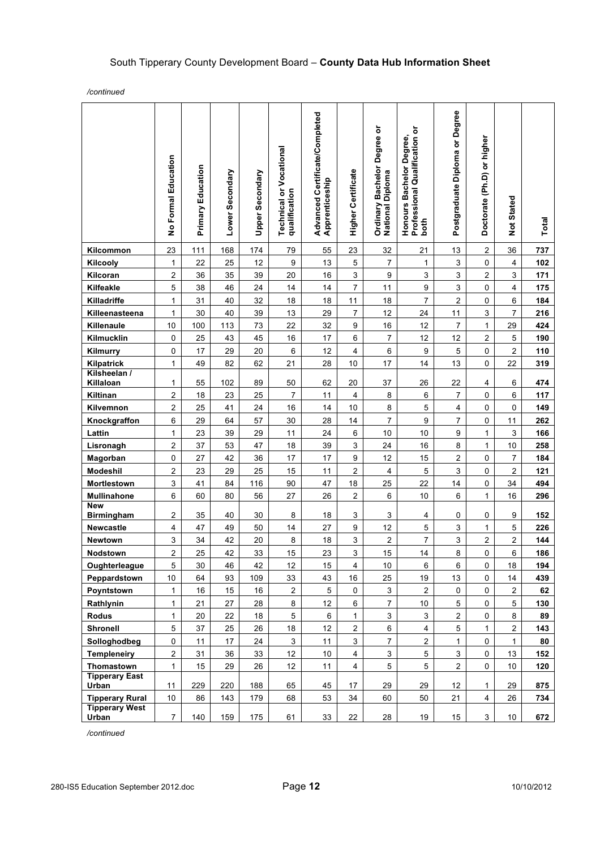*/continued*

|                                 | No Formal Education     | Education<br>Primary | Lower Secondary | Upper Secondary | <b>Technical or Vocational</b><br>qualification | Advanced Certificate/Completed<br>Apprenticeship | <b>Higher Certificate</b> | Degree or<br><b>Bachelor</b><br><b>Ordinary Bachelo</b><br>National Diploma | Professional Qualification or<br>Honours Bachelor Degree,<br>both | Postgraduate Diploma or Degree | Doctorate (Ph.D) or higher | <b>Not Stated</b> | Total |
|---------------------------------|-------------------------|----------------------|-----------------|-----------------|-------------------------------------------------|--------------------------------------------------|---------------------------|-----------------------------------------------------------------------------|-------------------------------------------------------------------|--------------------------------|----------------------------|-------------------|-------|
| Kilcommon                       | 23                      | 111                  | 168             | 174             | 79                                              | 55                                               | 23                        | 32                                                                          | 21                                                                | 13                             | $\overline{\mathbf{c}}$    | 36                | 737   |
| Kilcooly                        | $\mathbf{1}$            | 22                   | 25              | 12              | $\boldsymbol{9}$                                | 13                                               | 5                         | $\overline{7}$                                                              | $\mathbf{1}$                                                      | $\ensuremath{\mathsf{3}}$      | 0                          | 4                 | 102   |
| Kilcoran                        | $\overline{\mathbf{c}}$ | 36                   | 35              | 39              | 20                                              | 16                                               | 3                         | $\boldsymbol{9}$                                                            | 3                                                                 | 3                              | 2                          | 3                 | 171   |
| Kilfeakle                       | 5                       | 38                   | 46              | 24              | 14                                              | 14                                               | $\overline{7}$            | 11                                                                          | 9                                                                 | 3                              | 0                          | 4                 | 175   |
| Killadriffe                     | $\mathbf{1}$            | 31                   | 40              | 32              | 18                                              | 18                                               | 11                        | 18                                                                          | $\overline{7}$                                                    | $\overline{c}$                 | 0                          | 6                 | 184   |
| Killeenasteena                  | $\mathbf{1}$            | 30                   | 40              | 39              | 13                                              | 29                                               | $\overline{7}$            | 12                                                                          | 24                                                                | 11                             | 3                          | 7                 | 216   |
| Killenaule                      | 10                      | 100                  | 113             | 73              | 22                                              | 32                                               | 9                         | 16                                                                          | 12                                                                | $\overline{7}$                 | 1                          | 29                | 424   |
| Kilmucklin                      | 0                       | 25                   | 43              | 45              | 16                                              | 17                                               | 6                         | $\overline{7}$                                                              | 12                                                                | 12                             | $\overline{c}$             | 5                 | 190   |
| Kilmurry                        | 0                       | 17                   | 29              | 20              | 6                                               | 12                                               | 4                         | 6                                                                           | 9                                                                 | 5                              | $\pmb{0}$                  | 2                 | 110   |
| Kilpatrick                      | $\mathbf{1}$            | 49                   | 82              | 62              | 21                                              | 28                                               | 10                        | 17                                                                          | 14                                                                | 13                             | 0                          | 22                | 319   |
| Kilsheelan /<br>Killaloan       | 1                       | 55                   | 102             | 89              | 50                                              | 62                                               | 20                        | 37                                                                          | 26                                                                | 22                             | 4                          | 6                 | 474   |
| Kiltinan                        | $\boldsymbol{2}$        | 18                   | 23              | 25              | $\overline{7}$                                  | 11                                               | 4                         | $\bf 8$                                                                     | 6                                                                 | $\overline{7}$                 | 0                          | 6                 | 117   |
| Kilvemnon                       | $\overline{\mathbf{c}}$ | 25                   | 41              | 24              | 16                                              | 14                                               | 10                        | 8                                                                           | 5                                                                 | 4                              | 0                          | 0                 | 149   |
| Knockgraffon                    | 6                       | 29                   | 64              | 57              | 30                                              | 28                                               | 14                        | 7                                                                           | 9                                                                 | $\overline{7}$                 | 0                          | 11                | 262   |
| Lattin                          | $\mathbf{1}$            | 23                   | 39              | 29              | 11                                              | 24                                               | 6                         | 10                                                                          | 10                                                                | 9                              | 1                          | 3                 | 166   |
| Lisronagh                       | $\overline{\mathbf{c}}$ | 37                   | 53              | 47              | 18                                              | 39                                               | 3                         | 24                                                                          | 16                                                                | 8                              | 1                          | 10                | 258   |
| Magorban                        | $\pmb{0}$               | 27                   | 42              | 36              | 17                                              | 17                                               | 9                         | 12                                                                          | 15                                                                | 2                              | 0                          | 7                 | 184   |
| Modeshil                        | $\overline{2}$          | 23                   | 29              | 25              | 15                                              | 11                                               | $\overline{c}$            | $\overline{4}$                                                              | 5                                                                 | 3                              | 0                          | 2                 | 121   |
| Mortlestown                     | $\mathsf 3$             | 41                   | 84              | 116             | 90                                              | 47                                               | 18                        | 25                                                                          | 22                                                                | 14                             | 0                          | 34                | 494   |
| Mullinahone                     | 6                       | 60                   | 80              | 56              | 27                                              | 26                                               | $\overline{2}$            | 6                                                                           | $10$                                                              | 6                              | $\mathbf{1}$               | 16                | 296   |
| <b>New</b><br><b>Birmingham</b> | $\overline{\mathbf{c}}$ | 35                   | 40              | 30              | 8                                               | 18                                               | 3                         | 3                                                                           | 4                                                                 | 0                              | 0                          | 9                 | 152   |
| Newcastle                       | $\overline{4}$          | 47                   | 49              | 50              | 14                                              | 27                                               | 9                         | 12                                                                          | 5                                                                 | 3                              | 1                          | 5                 | 226   |
| Newtown                         | 3                       | 34                   | 42              | 20              | 8                                               | $18$                                             | 3                         | $\mathbf 2$                                                                 | 7                                                                 | 3                              | $\overline{\mathbf{c}}$    | 2                 | 144   |
| Nodstown                        | $\overline{2}$          | 25                   | 42              | 33              | 15                                              | 23                                               | 3                         | 15                                                                          | 14                                                                | 8                              | 0                          | 6                 | 186   |
| Oughterleague                   | 5                       | 30                   | 46              | 42              | 12                                              | 15                                               | 4                         | 10                                                                          | 6                                                                 | 6                              | 0                          | 18                | 194   |
| Peppardstown                    | $10$                    | 64                   | 93              | 109             | 33                                              | 43                                               | 16                        | 25                                                                          | 19                                                                | 13                             | 0                          | 14                | 439   |
| Poyntstown                      | $\mathbf{1}$            | 16                   | 15              | 16              | $\overline{c}$                                  | $\,$ 5 $\,$                                      | $\mathsf 0$               | 3                                                                           | $\overline{2}$                                                    | $\mathsf 0$                    | 0                          | 2                 | 62    |
| Rathlynin                       | $\mathbf{1}$            | 21                   | 27              | 28              | 8                                               | 12                                               | 6                         | $\overline{7}$                                                              | $10$                                                              | 5                              | 0                          | 5                 | 130   |
| <b>Rodus</b>                    | $\mathbf{1}$            | 20                   | 22              | 18              | 5                                               | 6                                                | $\mathbf{1}$              | 3                                                                           | 3                                                                 | $\overline{c}$                 | 0                          | 8                 | 89    |
| <b>Shronell</b>                 | 5                       | 37                   | 25              | 26              | 18                                              | 12                                               | $\overline{2}$            | $\,6\,$                                                                     | 4                                                                 | 5                              | 1                          | 2                 | 143   |
| Solloghodbeg                    | 0                       | 11                   | 17              | 24              | 3                                               | 11                                               | 3                         | $\overline{7}$                                                              | $\boldsymbol{2}$                                                  | 1                              | $\pmb{0}$                  | 1                 | 80    |
| <b>Templeneiry</b>              | $\boldsymbol{2}$        | 31                   | 36              | 33              | 12                                              | 10                                               | $\overline{4}$            | $\mathsf 3$                                                                 | 5                                                                 | 3                              | 0                          | 13                | 152   |
| Thomastown                      | $\mathbf{1}$            | 15                   | 29              | 26              | 12                                              | 11                                               | $\overline{4}$            | 5                                                                           | 5                                                                 | $\boldsymbol{2}$               | 0                          | 10                | 120   |
| <b>Tipperary East</b><br>Urban  | 11                      | 229                  | 220             | 188             | 65                                              | 45                                               | 17                        | 29                                                                          | 29                                                                | 12                             | 1                          | 29                | 875   |
| <b>Tipperary Rural</b>          | $10$                    | 86                   | 143             | 179             | 68                                              | 53                                               | 34                        | 60                                                                          | 50                                                                | 21                             | $\overline{\mathbf{4}}$    | 26                | 734   |
| <b>Tipperary West</b><br>Urban  | $\overline{7}$          | 140                  | 159             | 175             | 61                                              | 33                                               | 22                        | 28                                                                          | 19                                                                | 15                             | 3                          | 10                | 672   |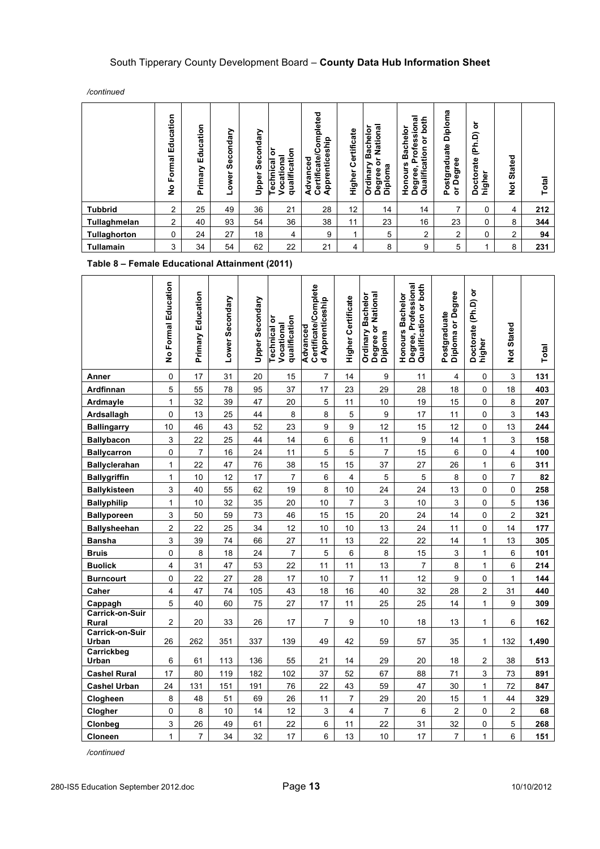*/continued*

|                  | ducation<br>ш<br>ormal<br>匹<br>$\frac{1}{2}$ | Education<br>Primary | Secondary<br>ower | Secondary<br>Upper | qualification<br>້ō<br>Vocational<br><b>Technical</b> | Certificate/Completed<br>Apprenticeship<br>Advanced | Certificate<br>Higher | National<br>Bachelor<br>៵<br>Ordinary<br>Diploma<br>Degree | Professional<br>both<br><b>Bachelor</b><br>៰<br>Qualification<br>Honours<br>$\blacksquare$<br>Degree, | Diploma<br>Postgraduate<br>Degree<br>ŏ | ৯<br>(Ph.D)<br>Doctorate<br>higher | <b>Stated</b><br><b>z</b> | <b>Total</b> |
|------------------|----------------------------------------------|----------------------|-------------------|--------------------|-------------------------------------------------------|-----------------------------------------------------|-----------------------|------------------------------------------------------------|-------------------------------------------------------------------------------------------------------|----------------------------------------|------------------------------------|---------------------------|--------------|
| <b>Tubbrid</b>   | 2                                            | 25                   | 49                | 36                 | 21                                                    | 28                                                  | 12                    | 14                                                         | 14                                                                                                    | 7                                      | 0                                  | 4                         | 212          |
| Tullaghmelan     | 2                                            | 40                   | 93                | 54                 | 36                                                    | 38                                                  | 11                    | 23                                                         | 16                                                                                                    | 23                                     | 0                                  | 8                         | 344          |
| Tullaghorton     | 0                                            | 24                   | 27                | 18                 | 4                                                     | 9                                                   |                       | 5                                                          | $\overline{2}$                                                                                        | $\overline{2}$                         | 0                                  | $\overline{2}$            | 94           |
| <b>Tullamain</b> | 3                                            | 34                   | 54                | 62                 | 22                                                    | 21                                                  | 4                     | 8                                                          | 9                                                                                                     | 5                                      | 1                                  | 8                         | 231          |

#### **Table 8 – Female Educational Attainment (2011)**

|                          | No Formal Education | <b>Primary Education</b> | Lower Secondary | Upper Secondary | qualification<br>Technical or<br>Vocational | Certificate/Complete<br>d Apprenticeship<br>Advanced | <b>Higher Certificate</b> | Degree or National<br>Bachelor<br>Ordinary<br>Diploma | Degree, Professional<br>Qualification or both<br>Honours Bachelor | Diploma or Degree<br>Postgraduate | Doctorate (Ph.D) or<br>higher | Not Stated     | Total |
|--------------------------|---------------------|--------------------------|-----------------|-----------------|---------------------------------------------|------------------------------------------------------|---------------------------|-------------------------------------------------------|-------------------------------------------------------------------|-----------------------------------|-------------------------------|----------------|-------|
| Anner                    | 0                   | 17                       | 31              | 20              | 15                                          | 7                                                    | 14                        | 9                                                     | 11                                                                | $\overline{4}$                    | 0                             | 3              | 131   |
| Ardfinnan                | 5                   | 55                       | 78              | 95              | 37                                          | 17                                                   | 23                        | 29                                                    | 28                                                                | 18                                | 0                             | 18             | 403   |
| Ardmayle                 | $\mathbf{1}$        | 32                       | 39              | 47              | 20                                          | 5                                                    | 11                        | 10                                                    | 19                                                                | 15                                | 0                             | 8              | 207   |
| Ardsallagh               | 0                   | 13                       | 25              | 44              | 8                                           | 8                                                    | 5                         | $\boldsymbol{9}$                                      | 17                                                                | 11                                | 0                             | 3              | 143   |
| <b>Ballingarry</b>       | 10                  | 46                       | 43              | 52              | 23                                          | 9                                                    | 9                         | 12                                                    | 15                                                                | 12                                | 0                             | 13             | 244   |
| <b>Ballybacon</b>        | 3                   | 22                       | 25              | 44              | 14                                          | 6                                                    | 6                         | 11                                                    | 9                                                                 | 14                                | $\mathbf{1}$                  | 3              | 158   |
| <b>Ballycarron</b>       | 0                   | $\overline{7}$           | 16              | 24              | 11                                          | 5                                                    | 5                         | 7                                                     | 15                                                                | 6                                 | 0                             | 4              | 100   |
| <b>Ballyclerahan</b>     | 1                   | 22                       | 47              | 76              | 38                                          | 15                                                   | 15                        | 37                                                    | 27                                                                | 26                                | 1                             | 6              | 311   |
| <b>Ballygriffin</b>      | $\mathbf{1}$        | 10                       | 12              | 17              | $\overline{7}$                              | 6                                                    | $\overline{4}$            | 5                                                     | 5                                                                 | 8                                 | 0                             | $\overline{7}$ | 82    |
| <b>Ballykisteen</b>      | 3                   | 40                       | 55              | 62              | 19                                          | 8                                                    | 10                        | 24                                                    | 24                                                                | 13                                | 0                             | 0              | 258   |
| <b>Ballyphilip</b>       | $\mathbf{1}$        | 10                       | 32              | 35              | 20                                          | 10                                                   | $\overline{7}$            | 3                                                     | 10                                                                | 3                                 | 0                             | 5              | 136   |
| <b>Ballyporeen</b>       | 3                   | 50                       | 59              | 73              | 46                                          | 15                                                   | 15                        | 20                                                    | 24                                                                | 14                                | 0                             | $\overline{2}$ | 321   |
| <b>Ballysheehan</b>      | 2                   | 22                       | 25              | 34              | 12                                          | 10                                                   | 10                        | 13                                                    | 24                                                                | 11                                | 0                             | 14             | 177   |
| <b>Bansha</b>            | 3                   | 39                       | 74              | 66              | 27                                          | 11                                                   | 13                        | 22                                                    | 22                                                                | 14                                | $\mathbf{1}$                  | 13             | 305   |
| <b>Bruis</b>             | 0                   | 8                        | 18              | 24              | $\overline{7}$                              | 5                                                    | $\,6$                     | 8                                                     | 15                                                                | 3                                 | 1                             | 6              | 101   |
| <b>Buolick</b>           | 4                   | 31                       | 47              | 53              | 22                                          | 11                                                   | 11                        | 13                                                    | $\overline{7}$                                                    | 8                                 | 1                             | 6              | 214   |
| <b>Burncourt</b>         | 0                   | 22                       | 27              | 28              | 17                                          | 10                                                   | $\overline{7}$            | 11                                                    | 12                                                                | 9                                 | 0                             | $\mathbf{1}$   | 144   |
| Caher                    | 4                   | 47                       | 74              | 105             | 43                                          | 18                                                   | 16                        | 40                                                    | 32                                                                | 28                                | 2                             | 31             | 440   |
| Cappagh                  | 5                   | 40                       | 60              | 75              | 27                                          | 17                                                   | 11                        | 25                                                    | 25                                                                | 14                                | $\mathbf{1}$                  | 9              | 309   |
| Carrick-on-Suir<br>Rural | $\overline{c}$      | 20                       | 33              | 26              | 17                                          | $\overline{7}$                                       | 9                         | 10                                                    | 18                                                                | 13                                | $\mathbf{1}$                  | 6              | 162   |
| Carrick-on-Suir<br>Urban | 26                  | 262                      | 351             | 337             | 139                                         | 49                                                   | 42                        | 59                                                    | 57                                                                | 35                                | 1                             | 132            | 1,490 |
| Carrickbeg<br>Urban      | 6                   | 61                       | 113             | 136             | 55                                          | 21                                                   | 14                        | 29                                                    | 20                                                                | 18                                | $\overline{c}$                | 38             | 513   |
| <b>Cashel Rural</b>      | 17                  | 80                       | 119             | 182             | 102                                         | 37                                                   | 52                        | 67                                                    | 88                                                                | 71                                | 3                             | 73             | 891   |
| <b>Cashel Urban</b>      | 24                  | 131                      | 151             | 191             | 76                                          | 22                                                   | 43                        | 59                                                    | 47                                                                | 30                                | 1                             | 72             | 847   |
| Clogheen                 | 8                   | 48                       | 51              | 69              | 26                                          | 11                                                   | $\overline{7}$            | 29                                                    | 20                                                                | 15                                | $\mathbf{1}$                  | 44             | 329   |
| Clogher                  | 0                   | 8                        | 10              | 14              | 12                                          | 3                                                    | 4                         | 7                                                     | 6                                                                 | $\overline{c}$                    | 0                             | 2              | 68    |
| Clonbeg                  | 3                   | 26                       | 49              | 61              | 22                                          | 6                                                    | 11                        | 22                                                    | 31                                                                | 32                                | 0                             | 5              | 268   |
| Cloneen                  | $\mathbf{1}$        | $\overline{7}$           | 34              | 32              | 17                                          | 6                                                    | 13                        | 10                                                    | 17                                                                | $\overline{7}$                    | 1                             | 6              | 151   |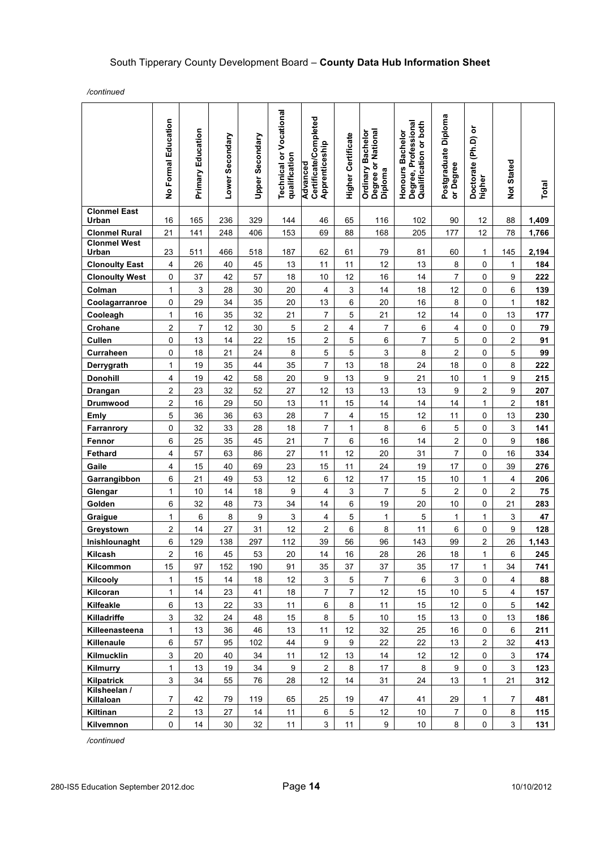*/continued*

|                              | No Formal Education     | <b>Primary Education</b> | Lower Secondary | Upper Secondary  | <b>Technical or Vocational</b><br>qualification | Certificate/Completed<br>Apprenticeship<br>Advanced | <b>Higher Certificate</b> | Degree or National<br>Diploma<br><b>Ordinary Bachelor</b> | Degree, Professional<br>Qualification or both<br>Honours Bachelor | Postgraduate Diploma<br>or Degree | Doctorate (Ph.D) or<br>higher | Not Stated                   | Total      |
|------------------------------|-------------------------|--------------------------|-----------------|------------------|-------------------------------------------------|-----------------------------------------------------|---------------------------|-----------------------------------------------------------|-------------------------------------------------------------------|-----------------------------------|-------------------------------|------------------------------|------------|
| <b>Clonmel East</b><br>Urban | 16                      | 165                      | 236             | 329              | 144                                             | 46                                                  | 65                        | 116                                                       | 102                                                               | 90                                | 12                            | 88                           | 1,409      |
| <b>Clonmel Rural</b>         | 21                      | 141                      | 248             | 406              | 153                                             | 69                                                  | 88                        | 168                                                       | 205                                                               | 177                               | 12                            | 78                           | 1,766      |
| <b>Clonmel West</b><br>Urban | 23                      | 511                      | 466             | 518              | 187                                             | 62                                                  | 61                        | 79                                                        | 81                                                                | 60                                | $\mathbf{1}$                  | 145                          | 2,194      |
| <b>Clonoulty East</b>        | 4                       | 26                       | 40              | 45               | 13                                              | 11                                                  | 11                        | 12                                                        | 13                                                                | 8                                 | 0                             | $\mathbf{1}$                 | 184        |
| <b>Clonoulty West</b>        | $\mathsf 0$             | 37                       | 42              | 57               | 18                                              | 10                                                  | 12                        | 16                                                        | 14                                                                | $\overline{7}$                    | 0                             | 9                            | 222        |
| Colman                       | $\mathbf 1$             | $\mathsf 3$              | 28              | 30               | 20                                              | $\overline{\mathbf{4}}$                             | $\mathsf 3$               | 14                                                        | 18                                                                | 12                                | 0                             | 6                            | 139        |
| Coolagarranroe               | $\mathsf 0$             | 29                       | 34              | 35               | 20                                              | 13                                                  | 6                         | 20                                                        | 16                                                                | 8                                 | 0                             | $\mathbf{1}$                 | 182        |
| Cooleagh                     | 1                       | 16                       | 35              | 32               | 21                                              | 7                                                   | 5                         | 21                                                        | 12                                                                | 14                                | 0                             | 13                           | 177        |
| Crohane                      | $\overline{\mathbf{c}}$ | 7                        | 12              | 30               | 5                                               | $\boldsymbol{2}$                                    | $\overline{4}$            | $\overline{7}$                                            | 6                                                                 | $\overline{4}$                    | 0                             | $\pmb{0}$                    | 79         |
| Cullen                       | 0                       | 13                       | 14              | 22               | 15                                              | $\mathbf 2$                                         | 5                         | 6                                                         | 7                                                                 | 5                                 | 0                             | 2                            | 91         |
| Curraheen                    | 0                       | 18                       | 21              | 24               | $\bf 8$                                         | 5                                                   | 5                         | 3                                                         | 8                                                                 | $\overline{c}$                    | 0                             | 5                            | 99         |
| Derrygrath                   | 1                       | 19                       | 35              | 44               | 35                                              | $\overline{7}$                                      | 13                        | 18                                                        | 24                                                                | 18                                | 0                             | 8                            | 222        |
| <b>Donohill</b>              | 4                       | 19                       | 42              | 58               | 20                                              | 9                                                   | 13                        | $\boldsymbol{9}$                                          | 21                                                                | 10                                | $\mathbf{1}$                  | 9                            | 215        |
| Drangan<br>Drumwood          | 2<br>2                  | 23<br>16                 | 32<br>29        | 52<br>50         | 27<br>13                                        | 12<br>11                                            | 13<br>15                  | 13<br>14                                                  | 13<br>14                                                          | $\boldsymbol{9}$<br>14            | $\mathbf 2$<br>$\mathbf{1}$   | 9<br>$\overline{\mathbf{c}}$ | 207<br>181 |
| <b>Emly</b>                  | 5                       | 36                       | 36              | 63               | 28                                              | $\overline{7}$                                      | 4                         | 15                                                        | 12                                                                | 11                                | 0                             | 13                           | 230        |
| Farranrory                   | 0                       | 32                       | 33              | 28               | 18                                              | $\overline{7}$                                      | $\mathbf{1}$              | 8                                                         | 6                                                                 | 5                                 | 0                             | 3                            | 141        |
| Fennor                       | 6                       | 25                       | 35              | 45               | 21                                              | $\overline{7}$                                      | 6                         | 16                                                        | 14                                                                | $\overline{\mathbf{c}}$           | 0                             | 9                            | 186        |
| Fethard                      | $\overline{\mathbf{4}}$ | 57                       | 63              | 86               | 27                                              | 11                                                  | 12                        | 20                                                        | 31                                                                | $\overline{7}$                    | 0                             | 16                           | 334        |
| Gaile                        | $\overline{\mathbf{4}}$ | 15                       | 40              | 69               | 23                                              | 15                                                  | 11                        | 24                                                        | 19                                                                | 17                                | 0                             | 39                           | 276        |
| Garrangibbon                 | 6                       | 21                       | 49              | 53               | 12                                              | 6                                                   | 12                        | $17\,$                                                    | 15                                                                | $10$                              | 1                             | 4                            | 206        |
| Glengar                      | $\mathbf{1}$            | 10                       | 14              | 18               | $\boldsymbol{9}$                                | 4                                                   | $\ensuremath{\mathsf{3}}$ | 7                                                         | 5                                                                 | $\overline{c}$                    | 0                             | $\overline{\mathbf{c}}$      | 75         |
| Golden                       | 6                       | 32                       | 48              | 73               | 34                                              | 14                                                  | 6                         | 19                                                        | 20                                                                | 10                                | 0                             | 21                           | 283        |
| Graigue                      | 1                       | 6                        | $\bf8$          | $\boldsymbol{9}$ | $\sqrt{3}$                                      | $\overline{\mathbf{4}}$                             | 5                         | $\mathbf{1}$                                              | 5                                                                 | $\mathbf{1}$                      | $\mathbf{1}$                  | $\ensuremath{\mathsf{3}}$    | 47         |
| Greystown                    | $\mathbf 2$             | 14                       | 27              | 31               | 12                                              | $\overline{c}$                                      | 6                         | 8                                                         | 11                                                                | 6                                 | 0                             | 9                            | 128        |
| Inishlounaght                | 6                       | 129                      | 138             | 297              | 112                                             | 39                                                  | 56                        | 96                                                        | 143                                                               | 99                                | $\mathbf 2$                   | 26                           | 1,143      |
| Kilcash                      | 2                       | 16                       | 45              | 53               | 20                                              | 14                                                  | 16                        | 28                                                        | 26                                                                | $18\,$                            | $\mathbf{1}$                  | 6                            | 245        |
| Kilcommon                    | 15                      | 97                       | 152             | 190              | 91                                              | 35                                                  | 37                        | 37                                                        | 35                                                                | 17                                | $\mathbf{1}$                  | 34                           | 741        |
| Kilcooly                     | 1                       | 15                       | 14              | 18               | 12                                              | $\mathbf{3}$                                        | 5                         | $\overline{7}$                                            | 6                                                                 | 3                                 | 0                             | 4                            | 88         |
| Kilcoran                     | 1                       | 14                       | 23              | 41               | 18                                              | $\overline{7}$                                      | $\overline{7}$            | 12                                                        | 15                                                                | 10                                | 5                             | 4                            | 157        |
| Kilfeakle                    | 6                       | 13                       | 22              | 33               | 11                                              | 6                                                   | 8                         | 11                                                        | 15                                                                | 12                                | 0                             | 5                            | 142        |
| Killadriffe                  | 3                       | 32                       | 24              | 48               | 15                                              | 8                                                   | 5                         | 10                                                        | 15                                                                | 13                                | 0                             | 13                           | 186        |
| Killeenasteena               | 1                       | 13<br>57                 | 36<br>95        | 46               | 13<br>44                                        | 11                                                  | 12<br>$\boldsymbol{9}$    | 32                                                        | 25                                                                | 16                                | 0<br>$\mathbf 2$              | 6                            | 211        |
| Killenaule<br>Kilmucklin     | 6<br>3                  | 20                       | 40              | 102<br>34        | 11                                              | 9<br>12                                             | 13                        | 22<br>14                                                  | 22<br>12                                                          | 13<br>12                          | 0                             | 32<br>3                      | 413<br>174 |
| Kilmurry                     | 1                       | 13                       | 19              | 34               | 9                                               | $\boldsymbol{2}$                                    | 8                         | 17                                                        | 8                                                                 | $\boldsymbol{9}$                  | 0                             | 3                            | 123        |
| <b>Kilpatrick</b>            | $\mathsf 3$             | 34                       | 55              | 76               | 28                                              | 12                                                  | 14                        | 31                                                        | 24                                                                | 13                                | $\mathbf{1}$                  | 21                           | 312        |
| Kilsheelan /<br>Killaloan    | 7                       | 42                       | 79              | 119              | 65                                              | 25                                                  | 19                        | 47                                                        | 41                                                                | 29                                | $\mathbf{1}$                  | 7                            | 481        |
| Kiltinan                     | $\overline{c}$          | 13                       | 27              | 14               | 11                                              | 6                                                   | 5                         | 12                                                        | 10                                                                | $\overline{7}$                    | 0                             | 8                            | 115        |
| Kilvemnon                    | $\pmb{0}$               | 14                       | 30              | 32               | 11                                              | $\mathsf 3$                                         | 11                        | 9                                                         | 10                                                                | 8                                 | 0                             | 3                            | 131        |